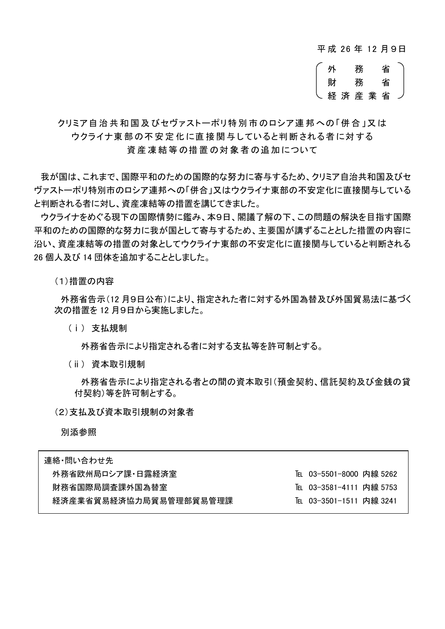平 成 26 年 12 月 9日

外 務 省 財 務 省 経済産業 省

クリミア自治 共 和国 及びセヴァストーポリ特別 市のロシア連 邦 への「併合 」又 は ウクライナ東 部の不 安定 化 に直 接 関与 していると判断 される者 に対 する 資産凍結等の措置の対象者の追加について

我が国は、これまで、国際平和のための国際的な努力に寄与するため、クリミア自治共和国及びセ ヴァストーポリ特別市のロシア連邦への「併合」又はウクライナ東部の不安定化に直接関与している と判断される者に対し、資産凍結等の措置を講じてきました。

ウクライナをめぐる現下の国際情勢に鑑み、本9日、閣議了解の下、この問題の解決を目指す国際 平和のための国際的な努力に我が国として寄与するため、主要国が講ずることとした措置の内容に 沿い、資産凍結等の措置の対象としてウクライナ東部の不安定化に直接関与していると判断される 26 個人及び 14 団体を追加することとしました。

(1)措置の内容

外務省告示(12 月9日公布)により、指定された者に対する外国為替及び外国貿易法に基づく 次の措置を 12 月9日から実施しました。

(ⅰ) 支払規制

外務省告示により指定される者に対する支払等を許可制とする。

(ⅱ) 資本取引規制

外務省告示により指定される者との間の資本取引(預金契約、信託契約及び金銭の貸 付契約)等を許可制とする。

(2)支払及び資本取引規制の対象者

別添参照

| 連絡・問い合わせ先              |                          |
|------------------------|--------------------------|
| 外務省欧州局ロシア課・日露経済室       | TEL 03-5501-8000 内線 5262 |
| 財務省国際局調杳課外国為替室         | TEL 03-3581-4111 内線 5753 |
| 経済産業省貿易経済協力局貿易管理部貿易管理課 | TEL 03-3501-1511 内線 3241 |
|                        |                          |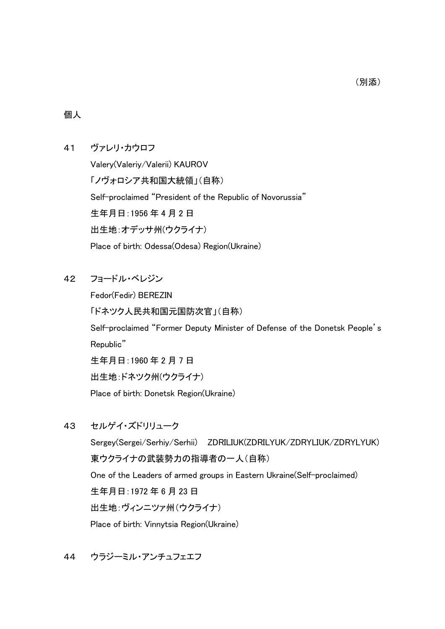#### 個人

## 41 ヴァレリ・カウロフ

Valery(Valeriy/Valerii) KAUROV 「ノヴォロシア共和国大統領」(自称) Self-proclaimed "President of the Republic of Novorussia" 生年月日:1956 年 4 月 2 日 出生地:オデッサ州(ウクライナ) Place of birth: Odessa(Odesa) Region(Ukraine)

42 フョードル・ベレジン

Fedor(Fedir) BEREZIN 「ドネツク人民共和国元国防次官」(自称) Self-proclaimed "Former Deputy Minister of Defense of the Donetsk People's Republic" 生年月日:1960 年 2 月 7 日 出生地:ドネツク州(ウクライナ) Place of birth: Donetsk Region(Ukraine)

43 セルゲイ・ズドリリューク

Sergey(Sergei/Serhiy/Serhii) ZDRILIUK(ZDRILYUK/ZDRYLIUK/ZDRYLYUK) 東ウクライナの武装勢力の指導者の一人(自称) One of the Leaders of armed groups in Eastern Ukraine(Self-proclaimed) 生年月日:1972 年 6 月 23 日 出生地:ヴィンニツァ州(ウクライナ) Place of birth: Vinnytsia Region(Ukraine)

44 ウラジーミル・アンチュフェエフ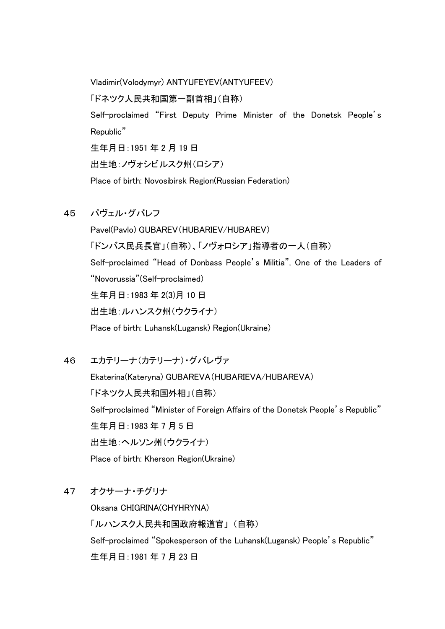Vladimir(Volodymyr) ANTYUFEYEV(ANTYUFEEV) 「ドネツク人民共和国第一副首相」(自称) Self-proclaimed "First Deputy Prime Minister of the Donetsk People's Republic" 生年月日:1951 年 2 月 19 日 出生地:ノヴォシビルスク州(ロシア) Place of birth: Novosibirsk Region(Russian Federation)

45 パヴェル・グバレフ

Pavel(Pavlo) GUBAREV(HUBARIEV/HUBAREV) 「ドンバス民兵長官」(自称)、「ノヴォロシア」指導者の一人(自称) Self-proclaimed "Head of Donbass People's Militia", One of the Leaders of "Novorussia"(Self-proclaimed) 生年月日:1983 年 2(3)月 10 日 出生地:ルハンスク州(ウクライナ) Place of birth: Luhansk(Lugansk) Region(Ukraine)

46 エカテリーナ(カテリーナ)・グバレヴァ

Ekaterina(Kateryna) GUBAREVA(HUBARIEVA/HUBAREVA) 「ドネツク人民共和国外相」(自称) Self-proclaimed "Minister of Foreign Affairs of the Donetsk People's Republic" 生年月日:1983 年 7 月 5 日 出生地:ヘルソン州(ウクライナ) Place of birth: Kherson Region(Ukraine)

47 オクサーナ・チグリナ

Oksana CHIGRINA(CHYHRYNA) 「ルハンスク人民共和国政府報道官」 (自称) Self-proclaimed "Spokesperson of the Luhansk(Lugansk) People's Republic" 生年月日:1981 年 7 月 23 日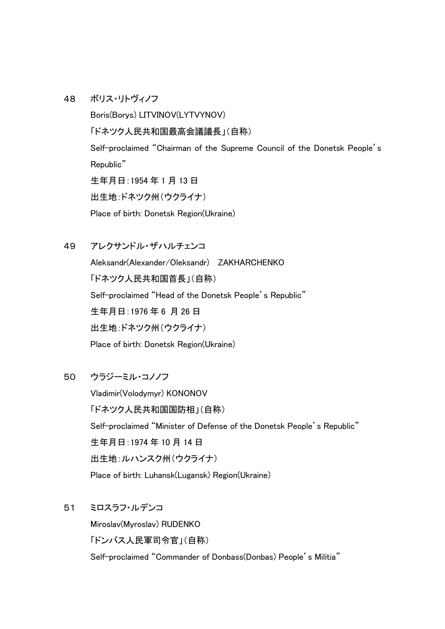### 48 ボリス・リトヴィノフ

Boris(Borys) LITVINOV(LYTVYNOV) 「ドネツク人民共和国最高会議議長」(自称) Self-proclaimed "Chairman of the Supreme Council of the Donetsk People's Republic" 生年月日:1954 年 1 月 13 日 出生地:ドネツク州(ウクライナ) Place of birth: Donetsk Region(Ukraine)

49 アレクサンドル・ザハルチェンコ

Aleksandr(Alexander/Oleksandr) ZAKHARCHENKO 「ドネツク人民共和国首長」(自称) Self-proclaimed "Head of the Donetsk People's Republic" 生年月日:1976 年 6 月 26 日 出生地:ドネツク州(ウクライナ) Place of birth: Donetsk Region(Ukraine)

#### 50 ウラジーミル・コノノフ

Vladimir(Volodymyr) KONONOV 「ドネツク人民共和国国防相」(自称) Self-proclaimed "Minister of Defense of the Donetsk People's Republic" 生年月日:1974 年 10 月 14 日 出生地:ルハンスク州(ウクライナ) Place of birth: Luhansk(Lugansk) Region(Ukraine)

#### 51 ミロスラフ・ルデンコ

Miroslav(Myroslav) RUDENKO 「ドンバス人民軍司令官」(自称) Self-proclaimed "Commander of Donbass(Donbas) People's Militia"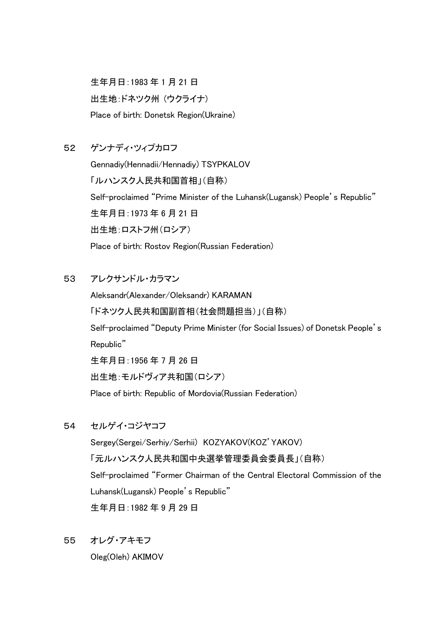生年月日:1983 年 1 月 21 日 出生地:ドネツク州 (ウクライナ) Place of birth: Donetsk Region(Ukraine)

# 52 ゲンナディ・ツィプカロフ

Gennadiy(Hennadii/Hennadiy) TSYPKALOV 「ルハンスク人民共和国首相」(自称) Self-proclaimed "Prime Minister of the Luhansk(Lugansk) People's Republic" 生年月日:1973 年 6 月 21 日 出生地:ロストフ州(ロシア) Place of birth: Rostov Region(Russian Federation)

# 53 アレクサンドル・カラマン

Aleksandr(Alexander/Oleksandr) KARAMAN 「ドネツク人民共和国副首相(社会問題担当)」(自称) Self-proclaimed "Deputy Prime Minister (for Social Issues) of Donetsk People's Republic" 生年月日:1956 年 7 月 26 日 出生地:モルドヴィア共和国(ロシア) Place of birth: Republic of Mordovia(Russian Federation)

54 セルゲイ・コジヤコフ

Sergey(Sergei/Serhiy/Serhii) KOZYAKOV(KOZ'YAKOV) 「元ルハンスク人民共和国中央選挙管理委員会委員長」(自称) Self-proclaimed "Former Chairman of the Central Electoral Commission of the Luhansk(Lugansk) People's Republic" 生年月日:1982 年 9 月 29 日

55 オレグ・アキモフ

Oleg(Oleh) AKIMOV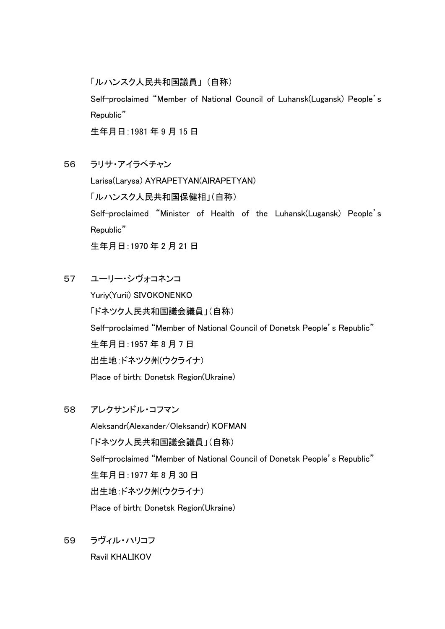「ルハンスク人民共和国議員」 (自称)

Self-proclaimed "Member of National Council of Luhansk(Lugansk) People's Republic"

生年月日:1981 年 9 月 15 日

56 ラリサ・アイラペチャン

Larisa(Larysa) AYRAPETYAN(AIRAPETYAN) 「ルハンスク人民共和国保健相」(自称) Self-proclaimed "Minister of Health of the Luhansk(Lugansk) People's Republic" 生年月日:1970 年 2 月 21 日

57 ユーリー・シヴォコネンコ

Yuriy(Yurii) SIVOKONENKO 「ドネツク人民共和国議会議員」(自称) Self-proclaimed "Member of National Council of Donetsk People's Republic" 生年月日:1957 年 8 月 7 日 出生地:ドネツク州(ウクライナ) Place of birth: Donetsk Region(Ukraine)

58 アレクサンドル・コフマン

Aleksandr(Alexander/Oleksandr) KOFMAN 「ドネツク人民共和国議会議員」(自称) Self-proclaimed "Member of National Council of Donetsk People's Republic" 生年月日:1977 年 8 月 30 日 出生地:ドネツク州(ウクライナ) Place of birth: Donetsk Region(Ukraine)

59 ラヴィル・ハリコフ Ravil KHALIKOV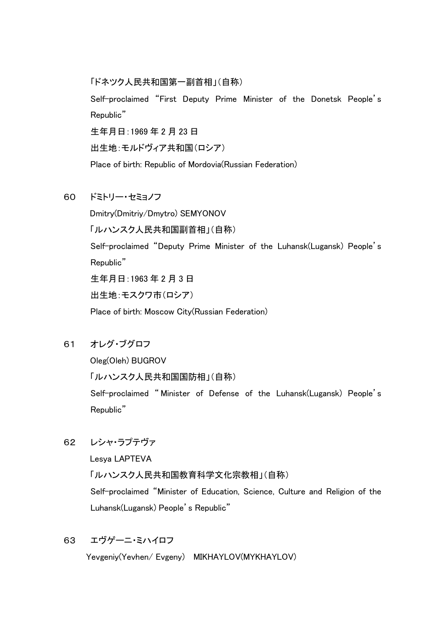「ドネツク人民共和国第一副首相」(自称) Self-proclaimed "First Deputy Prime Minister of the Donetsk People's Republic" 生年月日:1969 年 2 月 23 日 出生地:モルドヴィア共和国(ロシア) Place of birth: Republic of Mordovia(Russian Federation)

60 ドミトリー・セミョノフ

Dmitry(Dmitriy/Dmytro) SEMYONOV 「ルハンスク人民共和国副首相」(自称) Self-proclaimed "Deputy Prime Minister of the Luhansk(Lugansk) People's Republic" 生年月日:1963 年 2 月 3 日 出生地:モスクワ市(ロシア)

Place of birth: Moscow City(Russian Federation)

61 オレグ・ブグロフ

Oleg(Oleh) BUGROV

「ルハンスク人民共和国国防相」(自称)

Self-proclaimed " Minister of Defense of the Luhansk(Lugansk) People's Republic"

62 レシャ・ラプテヴァ

Lesya LAPTEVA

「ルハンスク人民共和国教育科学文化宗教相」(自称)

Self-proclaimed "Minister of Education, Science, Culture and Religion of the Luhansk(Lugansk) People's Republic"

# 63 エヴゲーニ・ミハイロフ

Yevgeniy(Yevhen/ Evgeny) MIKHAYLOV(MYKHAYLOV)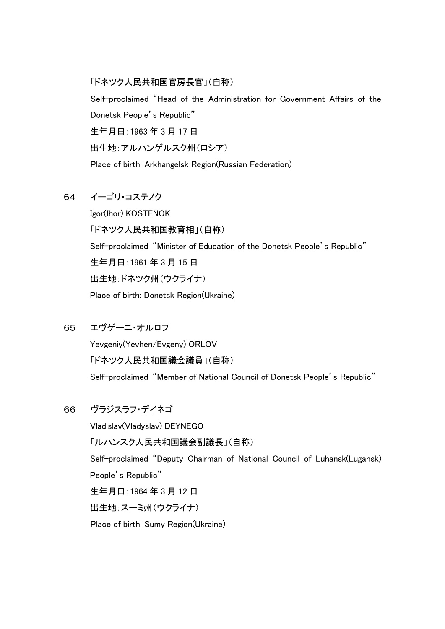「ドネツク人民共和国官房長官」(自称) Self-proclaimed "Head of the Administration for Government Affairs of the Donetsk People's Republic" 生年月日:1963 年 3 月 17 日 出生地:アルハンゲルスク州(ロシア) Place of birth: Arkhangelsk Region(Russian Federation)

## 64 イーゴリ・コステノク

Igor(Ihor) KOSTENOK 「ドネツク人民共和国教育相」(自称) Self-proclaimed "Minister of Education of the Donetsk People's Republic" 生年月日:1961 年 3 月 15 日 出生地:ドネツク州(ウクライナ) Place of birth: Donetsk Region(Ukraine)

65 エヴゲーニ・オルロフ

Yevgeniy(Yevhen/Evgeny) ORLOV 「ドネツク人民共和国議会議員」(自称) Self-proclaimed "Member of National Council of Donetsk People's Republic"

# 66 ヴラジスラフ・デイネゴ

Vladislav(Vladyslav) DEYNEGO 「ルハンスク人民共和国議会副議長」(自称) Self-proclaimed "Deputy Chairman of National Council of Luhansk(Lugansk) People's Republic" 生年月日:1964 年 3 月 12 日 出生地:スーミ州(ウクライナ) Place of birth: Sumy Region(Ukraine)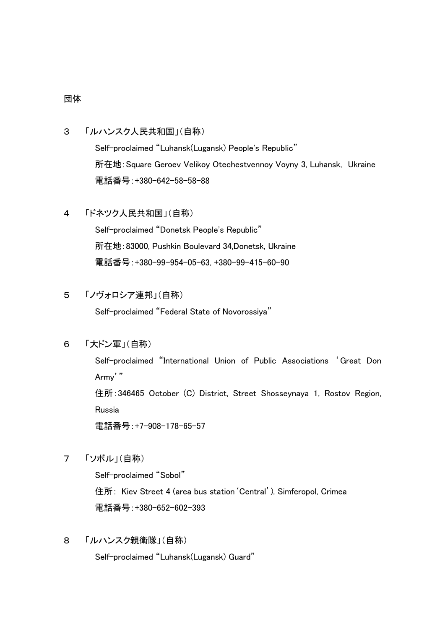#### 団体

## 3 「ルハンスク人民共和国」(自称)

Self-proclaimed "Luhansk(Lugansk) People's Republic" 所在地:Square Geroev Velikoy Otechestvennoy Voyny 3, Luhansk, Ukraine 電話番号:+380-642-58-58-88

## 4 「ドネツク人民共和国」(自称)

Self-proclaimed "Donetsk People's Republic" 所在地:83000, Pushkin Boulevard 34,Donetsk, Ukraine 電話番号:+380-99-954-05-63, +380-99-415-60-90

### 5 「ノヴォロシア連邦」(自称)

Self-proclaimed "Federal State of Novorossiya"

# 6 「大ドン軍」(自称)

Self-proclaimed "International Union of Public Associations 'Great Don Army'"

住所:346465 October (C) District, Street Shosseynaya 1, Rostov Region, Russia

電話番号:+7-908-178-65-57

### 7 「ソボル」(自称)

Self-proclaimed "Sobol" 住所: Kiev Street 4 (area bus station'Central'), Simferopol, Crimea 電話番号:+380-652-602-393

8 「ルハンスク親衛隊」(自称)

Self-proclaimed "Luhansk(Lugansk) Guard"